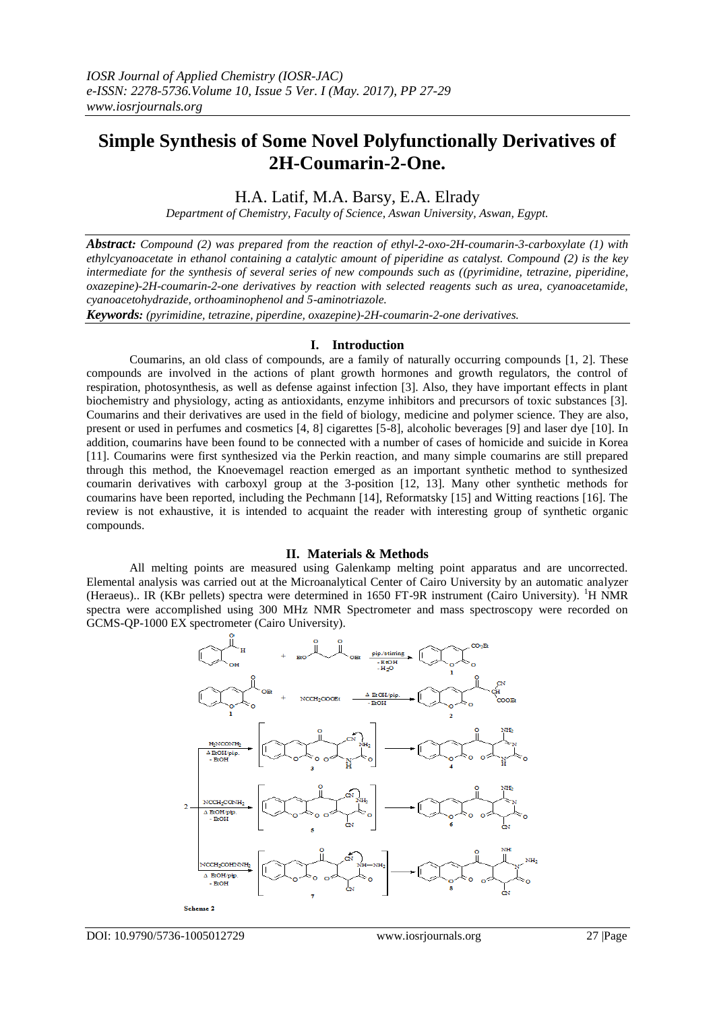# **Simple Synthesis of Some Novel Polyfunctionally Derivatives of 2H-Coumarin-2-One.**

## H.A. Latif, M.A. Barsy, E.A. Elrady

*Department of Chemistry, Faculty of Science, Aswan University, Aswan, Egypt.*

*Abstract: Compound (2) was prepared from the reaction of ethyl-2-oxo-2H-coumarin-3-carboxylate (1) with ethylcyanoacetate in ethanol containing a catalytic amount of piperidine as catalyst. Compound (2) is the key intermediate for the synthesis of several series of new compounds such as ((pyrimidine, tetrazine, piperidine, oxazepine)-2H-coumarin-2-one derivatives by reaction with selected reagents such as urea, cyanoacetamide, cyanoacetohydrazide, orthoaminophenol and 5-aminotriazole.*

*Keywords: (pyrimidine, tetrazine, piperdine, oxazepine)-2H-coumarin-2-one derivatives.*

#### **I. Introduction**

Coumarins, an old class of compounds, are a family of naturally occurring compounds [1, 2]. These compounds are involved in the actions of plant growth hormones and growth regulators, the control of respiration, photosynthesis, as well as defense against infection [3]. Also, they have important effects in plant biochemistry and physiology, acting as antioxidants, enzyme inhibitors and precursors of toxic substances [3]. Coumarins and their derivatives are used in the field of biology, medicine and polymer science. They are also, present or used in perfumes and cosmetics [4, 8] cigarettes [5-8], alcoholic beverages [9] and laser dye [10]. In addition, coumarins have been found to be connected with a number of cases of homicide and suicide in Korea [11]. Coumarins were first synthesized via the Perkin reaction, and many simple coumarins are still prepared through this method, the Knoevemagel reaction emerged as an important synthetic method to synthesized coumarin derivatives with carboxyl group at the 3-position [12, 13]. Many other synthetic methods for coumarins have been reported, including the Pechmann [14], Reformatsky [15] and Witting reactions [16]. The review is not exhaustive, it is intended to acquaint the reader with interesting group of synthetic organic compounds.

#### **II. Materials & Methods**

All melting points are measured using Galenkamp melting point apparatus and are uncorrected. Elemental analysis was carried out at the Microanalytical Center of Cairo University by an automatic analyzer (Heraeus).. IR (KBr pellets) spectra were determined in 1650 FT-9R instrument (Cairo University). <sup>1</sup>H NMR spectra were accomplished using 300 MHz NMR Spectrometer and mass spectroscopy were recorded on GCMS-QP-1000 EX spectrometer (Cairo University).

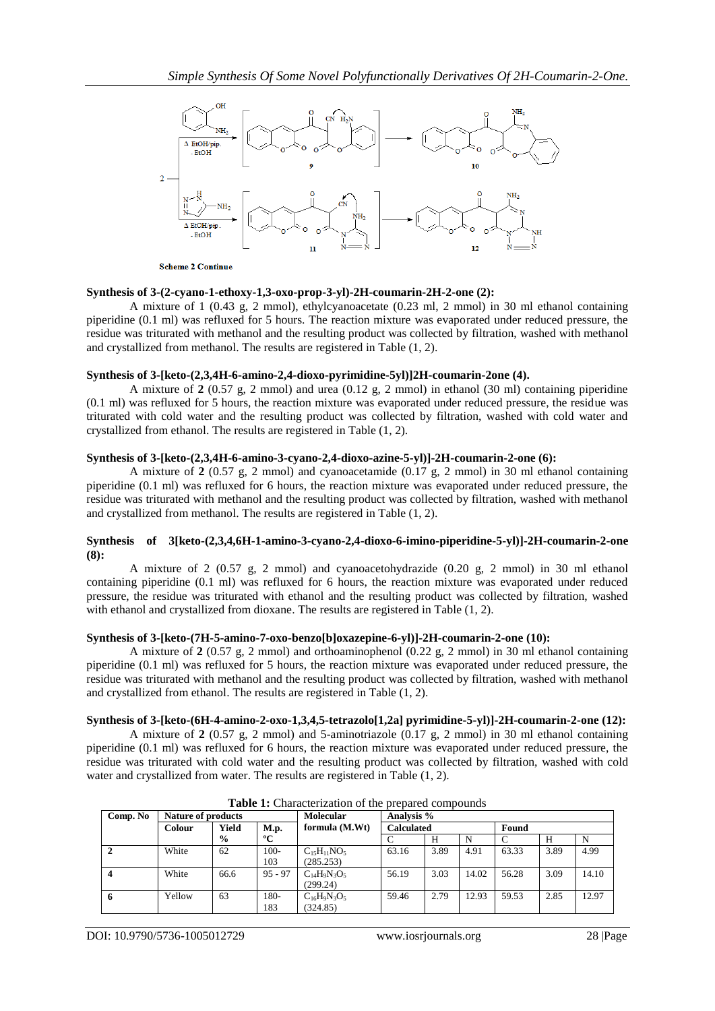

**Scheme 2 Continue** 

#### **Synthesis of 3-(2-cyano-1-ethoxy-1,3-oxo-prop-3-yl)-2H-coumarin-2H-2-one (2):**

A mixture of 1 (0.43 g, 2 mmol), ethylcyanoacetate (0.23 ml, 2 mmol) in 30 ml ethanol containing piperidine (0.1 ml) was refluxed for 5 hours. The reaction mixture was evaporated under reduced pressure, the residue was triturated with methanol and the resulting product was collected by filtration, washed with methanol and crystallized from methanol. The results are registered in Table (1, 2).

#### **Synthesis of 3-[keto-(2,3,4H-6-amino-2,4-dioxo-pyrimidine-5yl)]2H-coumarin-2one (4).**

A mixture of **2** (0.57 g, 2 mmol) and urea (0.12 g, 2 mmol) in ethanol (30 ml) containing piperidine (0.1 ml) was refluxed for 5 hours, the reaction mixture was evaporated under reduced pressure, the residue was triturated with cold water and the resulting product was collected by filtration, washed with cold water and crystallized from ethanol. The results are registered in Table (1, 2).

#### **Synthesis of 3-[keto-(2,3,4H-6-amino-3-cyano-2,4-dioxo-azine-5-yl)]-2H-coumarin-2-one (6):**

A mixture of **2** (0.57 g, 2 mmol) and cyanoacetamide (0.17 g, 2 mmol) in 30 ml ethanol containing piperidine (0.1 ml) was refluxed for 6 hours, the reaction mixture was evaporated under reduced pressure, the residue was triturated with methanol and the resulting product was collected by filtration, washed with methanol and crystallized from methanol. The results are registered in Table (1, 2).

#### **Synthesis of 3[keto-(2,3,4,6H-1-amino-3-cyano-2,4-dioxo-6-imino-piperidine-5-yl)]-2H-coumarin-2-one (8):**

A mixture of 2 (0.57 g, 2 mmol) and cyanoacetohydrazide (0.20 g, 2 mmol) in 30 ml ethanol containing piperidine (0.1 ml) was refluxed for 6 hours, the reaction mixture was evaporated under reduced pressure, the residue was triturated with ethanol and the resulting product was collected by filtration, washed with ethanol and crystallized from dioxane. The results are registered in Table  $(1, 2)$ .

#### **Synthesis of 3-[keto-(7H-5-amino-7-oxo-benzo[b]oxazepine-6-yl)]-2H-coumarin-2-one (10):**

A mixture of **2** (0.57 g, 2 mmol) and orthoaminophenol (0.22 g, 2 mmol) in 30 ml ethanol containing piperidine (0.1 ml) was refluxed for 5 hours, the reaction mixture was evaporated under reduced pressure, the residue was triturated with methanol and the resulting product was collected by filtration, washed with methanol and crystallized from ethanol. The results are registered in Table (1, 2).

### **Synthesis of 3-[keto-(6H-4-amino-2-oxo-1,3,4,5-tetrazolo[1,2a] pyrimidine-5-yl)]-2H-coumarin-2-one (12):**

A mixture of **2** (0.57 g, 2 mmol) and 5-aminotriazole (0.17 g, 2 mmol) in 30 ml ethanol containing piperidine (0.1 ml) was refluxed for 6 hours, the reaction mixture was evaporated under reduced pressure, the residue was triturated with cold water and the resulting product was collected by filtration, washed with cold water and crystallized from water. The results are registered in Table (1, 2).

| Comp. No | <b>Nature of products</b> |               |                | <b>Molecular</b>                | Analysis %        |      |       |       |      |       |
|----------|---------------------------|---------------|----------------|---------------------------------|-------------------|------|-------|-------|------|-------|
|          | <b>Colour</b>             | Yield         | M.p.           | formula (M.Wt)                  | <b>Calculated</b> |      | Found |       |      |       |
|          |                           | $\frac{6}{9}$ | $^{\rm o}C$    |                                 |                   | H    | N     |       | Н    | N     |
|          | White                     | 62            | $100 -$<br>103 | $C_{15}H_{11}NO_5$<br>(285.253) | 63.16             | 3.89 | 4.91  | 63.33 | 3.89 | 4.99  |
|          | White                     | 66.6          | $95 - 97$      | $C_{14}H_9N_3O_5$<br>(299.24)   | 56.19             | 3.03 | 14.02 | 56.28 | 3.09 | 14.10 |
|          | Yellow                    | 63            | 180-<br>183    | $C_{16}H_9N_3O_5$<br>(324.85)   | 59.46             | 2.79 | 12.93 | 59.53 | 2.85 | 12.97 |

**Table 1:** Characterization of the prepared compounds